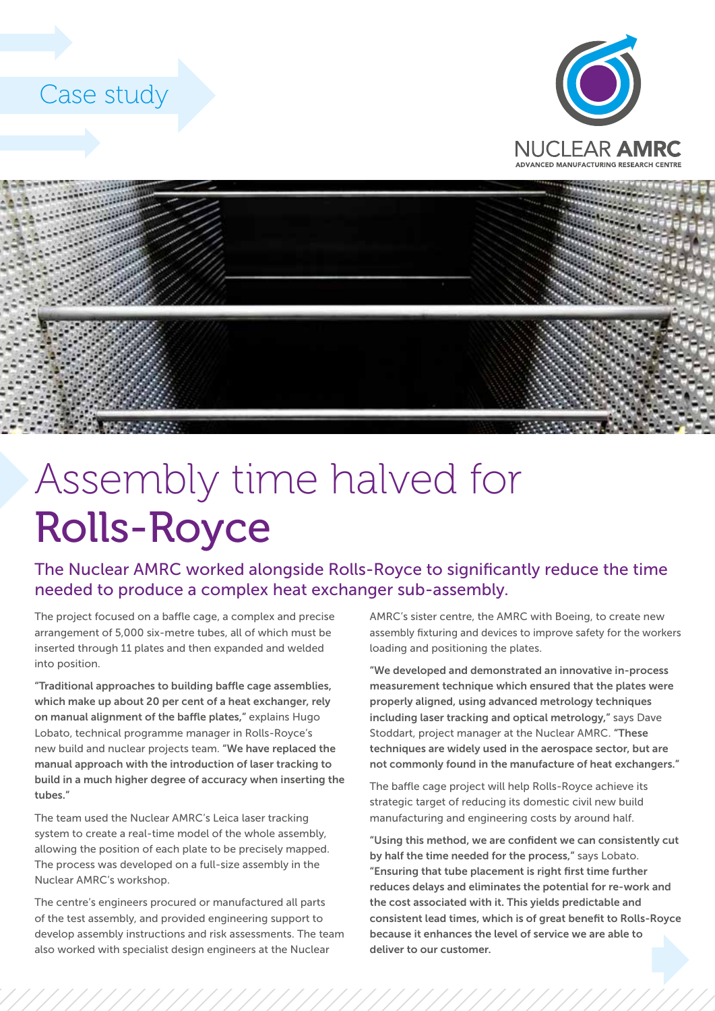## Case study





## Assembly time halved for Rolls-Royce

The Nuclear AMRC worked alongside Rolls-Royce to significantly reduce the time needed to produce a complex heat exchanger sub-assembly.

The project focused on a baffle cage, a complex and precise arrangement of 5,000 six-metre tubes, all of which must be inserted through 11 plates and then expanded and welded into position.

"Traditional approaches to building baffle cage assemblies, which make up about 20 per cent of a heat exchanger, rely on manual alignment of the baffle plates," explains Hugo Lobato, technical programme manager in Rolls-Royce's new build and nuclear projects team. "We have replaced the manual approach with the introduction of laser tracking to build in a much higher degree of accuracy when inserting the tubes."

The team used the Nuclear AMRC's Leica laser tracking system to create a real-time model of the whole assembly, allowing the position of each plate to be precisely mapped. The process was developed on a full-size assembly in the Nuclear AMRC's workshop.

The centre's engineers procured or manufactured all parts of the test assembly, and provided engineering support to develop assembly instructions and risk assessments. The team also worked with specialist design engineers at the Nuclear

AMRC's sister centre, the AMRC with Boeing, to create new assembly fixturing and devices to improve safety for the workers loading and positioning the plates.

"We developed and demonstrated an innovative in-process measurement technique which ensured that the plates were properly aligned, using advanced metrology techniques including laser tracking and optical metrology," says Dave Stoddart, project manager at the Nuclear AMRC. "These techniques are widely used in the aerospace sector, but are not commonly found in the manufacture of heat exchangers."

The baffle cage project will help Rolls-Royce achieve its strategic target of reducing its domestic civil new build manufacturing and engineering costs by around half.

"Using this method, we are confident we can consistently cut by half the time needed for the process," says Lobato. "Ensuring that tube placement is right first time further reduces delays and eliminates the potential for re-work and the cost associated with it. This yields predictable and consistent lead times, which is of great benefit to Rolls-Royce because it enhances the level of service we are able to deliver to our customer.